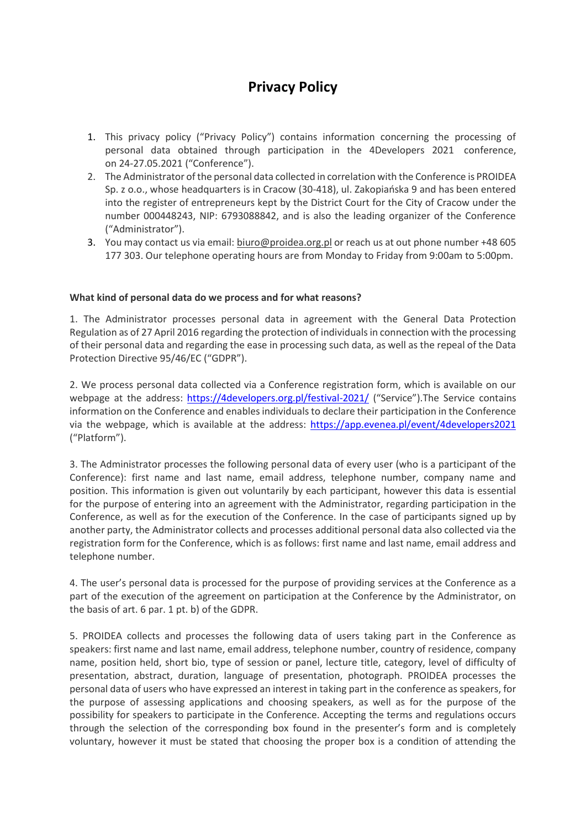# **Privacy Policy**

- 1. This privacy policy ("Privacy Policy") contains information concerning the processing of personal data obtained through participation in the 4Developers 2021 conference, on 24-27.05.2021 ("Conference").
- 2. The Administrator of the personal data collected in correlation with the Conference is PROIDEA Sp. z o.o., whose headquarters is in Cracow (30-418), ul. Zakopiańska 9 and has been entered into the register of entrepreneurs kept by the District Court for the City of Cracow under the number 000448243, NIP: 6793088842, and is also the leading organizer of the Conference ("Administrator").
- 3. You may contact us via email[: biuro@proidea.org.pl](mailto:biuro@proidea.org.pl) or reach us at out phone number +48 605 177 303. Our telephone operating hours are from Monday to Friday from 9:00am to 5:00pm.

# **What kind of personal data do we process and for what reasons?**

1. The Administrator processes personal data in agreement with the General Data Protection Regulation as of 27 April 2016 regarding the protection of individuals in connection with the processing of their personal data and regarding the ease in processing such data, as well as the repeal of the Data Protection Directive 95/46/EC ("GDPR").

2. We process personal data collected via a Conference registration form, which is available on our webpage at the address: <https://4developers.org.pl/festival-2021/> ("Service"). The Service contains information on the Conference and enables individuals to declare their participation in the Conference via the webpage, which is available at the address: <https://app.evenea.pl/event/4developers2021> ("Platform").

3. The Administrator processes the following personal data of every user (who is a participant of the Conference): first name and last name, email address, telephone number, company name and position. This information is given out voluntarily by each participant, however this data is essential for the purpose of entering into an agreement with the Administrator, regarding participation in the Conference, as well as for the execution of the Conference. In the case of participants signed up by another party, the Administrator collects and processes additional personal data also collected via the registration form for the Conference, which is as follows: first name and last name, email address and telephone number.

4. The user's personal data is processed for the purpose of providing services at the Conference as a part of the execution of the agreement on participation at the Conference by the Administrator, on the basis of art. 6 par. 1 pt. b) of the GDPR.

5. PROIDEA collects and processes the following data of users taking part in the Conference as speakers: first name and last name, email address, telephone number, country of residence, company name, position held, short bio, type of session or panel, lecture title, category, level of difficulty of presentation, abstract, duration, language of presentation, photograph. PROIDEA processes the personal data of users who have expressed an interest in taking part in the conference as speakers, for the purpose of assessing applications and choosing speakers, as well as for the purpose of the possibility for speakers to participate in the Conference. Accepting the terms and regulations occurs through the selection of the corresponding box found in the presenter's form and is completely voluntary, however it must be stated that choosing the proper box is a condition of attending the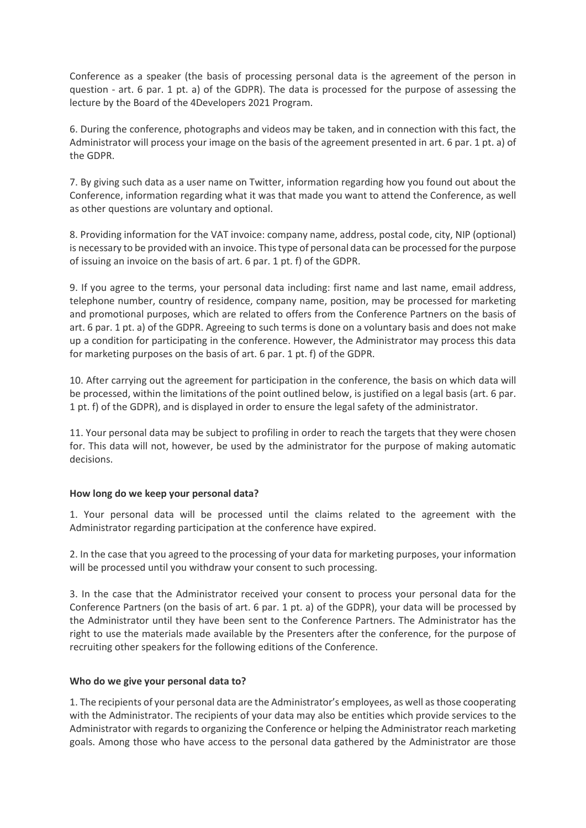Conference as a speaker (the basis of processing personal data is the agreement of the person in question - art. 6 par. 1 pt. a) of the GDPR). The data is processed for the purpose of assessing the lecture by the Board of the 4Developers 2021 Program.

6. During the conference, photographs and videos may be taken, and in connection with this fact, the Administrator will process your image on the basis of the agreement presented in art. 6 par. 1 pt. a) of the GDPR.

7. By giving such data as a user name on Twitter, information regarding how you found out about the Conference, information regarding what it was that made you want to attend the Conference, as well as other questions are voluntary and optional.

8. Providing information for the VAT invoice: company name, address, postal code, city, NIP (optional) is necessary to be provided with an invoice. This type of personal data can be processed for the purpose of issuing an invoice on the basis of art. 6 par. 1 pt. f) of the GDPR.

9. If you agree to the terms, your personal data including: first name and last name, email address, telephone number, country of residence, company name, position, may be processed for marketing and promotional purposes, which are related to offers from the Conference Partners on the basis of art. 6 par. 1 pt. a) of the GDPR. Agreeing to such terms is done on a voluntary basis and does not make up a condition for participating in the conference. However, the Administrator may process this data for marketing purposes on the basis of art. 6 par. 1 pt. f) of the GDPR.

10. After carrying out the agreement for participation in the conference, the basis on which data will be processed, within the limitations of the point outlined below, is justified on a legal basis (art. 6 par. 1 pt. f) of the GDPR), and is displayed in order to ensure the legal safety of the administrator.

11. Your personal data may be subject to profiling in order to reach the targets that they were chosen for. This data will not, however, be used by the administrator for the purpose of making automatic decisions.

## **How long do we keep your personal data?**

1. Your personal data will be processed until the claims related to the agreement with the Administrator regarding participation at the conference have expired.

2. In the case that you agreed to the processing of your data for marketing purposes, your information will be processed until you withdraw your consent to such processing.

3. In the case that the Administrator received your consent to process your personal data for the Conference Partners (on the basis of art. 6 par. 1 pt. a) of the GDPR), your data will be processed by the Administrator until they have been sent to the Conference Partners. The Administrator has the right to use the materials made available by the Presenters after the conference, for the purpose of recruiting other speakers for the following editions of the Conference.

## **Who do we give your personal data to?**

1. The recipients of your personal data are the Administrator's employees, as well as those cooperating with the Administrator. The recipients of your data may also be entities which provide services to the Administrator with regards to organizing the Conference or helping the Administrator reach marketing goals. Among those who have access to the personal data gathered by the Administrator are those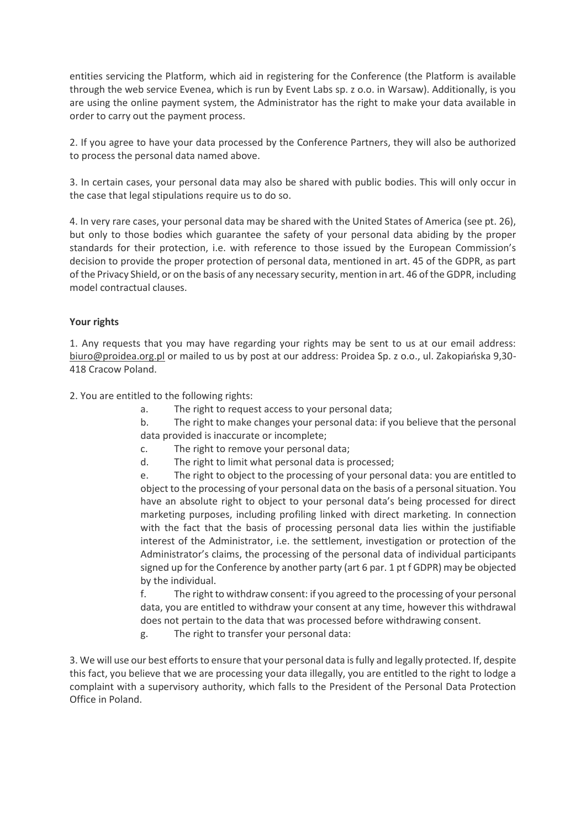entities servicing the Platform, which aid in registering for the Conference (the Platform is available through the web service Evenea, which is run by Event Labs sp. z o.o. in Warsaw). Additionally, is you are using the online payment system, the Administrator has the right to make your data available in order to carry out the payment process.

2. If you agree to have your data processed by the Conference Partners, they will also be authorized to process the personal data named above.

3. In certain cases, your personal data may also be shared with public bodies. This will only occur in the case that legal stipulations require us to do so.

4. In very rare cases, your personal data may be shared with the United States of America (see pt. 26), but only to those bodies which guarantee the safety of your personal data abiding by the proper standards for their protection, i.e. with reference to those issued by the European Commission's decision to provide the proper protection of personal data, mentioned in art. 45 of the GDPR, as part of the Privacy Shield, or on the basis of any necessary security, mention in art. 46 of the GDPR, including model contractual clauses.

# **Your rights**

1. Any requests that you may have regarding your rights may be sent to us at our email address: [biuro@proidea.org.pl](mailto:biuro@proidea.org.pl) or mailed to us by post at our address: Proidea Sp. z o.o., ul. Zakopiańska 9,30- 418 Cracow Poland.

2. You are entitled to the following rights:

- a. The right to request access to your personal data;
- b. The right to make changes your personal data: if you believe that the personal data provided is inaccurate or incomplete;
- c. The right to remove your personal data;
- d. The right to limit what personal data is processed;

e. The right to object to the processing of your personal data: you are entitled to object to the processing of your personal data on the basis of a personal situation. You have an absolute right to object to your personal data's being processed for direct marketing purposes, including profiling linked with direct marketing. In connection with the fact that the basis of processing personal data lies within the justifiable interest of the Administrator, i.e. the settlement, investigation or protection of the Administrator's claims, the processing of the personal data of individual participants signed up for the Conference by another party (art 6 par. 1 pt f GDPR) may be objected by the individual.

f. The right to withdraw consent: if you agreed to the processing of your personal data, you are entitled to withdraw your consent at any time, however this withdrawal does not pertain to the data that was processed before withdrawing consent.

g. The right to transfer your personal data:

3. We will use our best efforts to ensure that your personal data is fully and legally protected. If, despite this fact, you believe that we are processing your data illegally, you are entitled to the right to lodge a complaint with a supervisory authority, which falls to the President of the Personal Data Protection Office in Poland.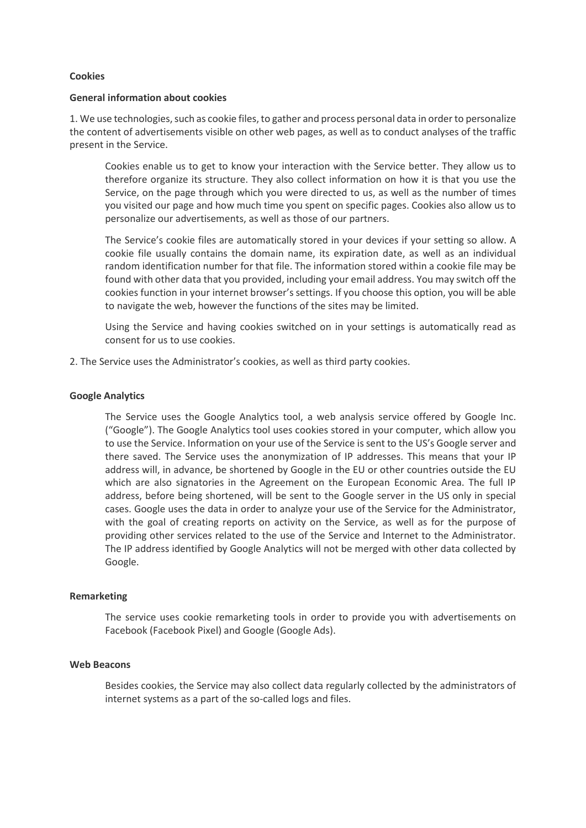#### **Cookies**

#### **General information about cookies**

1. We use technologies, such as cookie files, to gather and process personal data in order to personalize the content of advertisements visible on other web pages, as well as to conduct analyses of the traffic present in the Service.

Cookies enable us to get to know your interaction with the Service better. They allow us to therefore organize its structure. They also collect information on how it is that you use the Service, on the page through which you were directed to us, as well as the number of times you visited our page and how much time you spent on specific pages. Cookies also allow us to personalize our advertisements, as well as those of our partners.

The Service's cookie files are automatically stored in your devices if your setting so allow. A cookie file usually contains the domain name, its expiration date, as well as an individual random identification number for that file. The information stored within a cookie file may be found with other data that you provided, including your email address. You may switch off the cookies function in your internet browser's settings. If you choose this option, you will be able to navigate the web, however the functions of the sites may be limited.

Using the Service and having cookies switched on in your settings is automatically read as consent for us to use cookies.

2. The Service uses the Administrator's cookies, as well as third party cookies.

## **Google Analytics**

The Service uses the Google Analytics tool, a web analysis service offered by Google Inc. ("Google"). The Google Analytics tool uses cookies stored in your computer, which allow you to use the Service. Information on your use of the Service is sent to the US's Google server and there saved. The Service uses the anonymization of IP addresses. This means that your IP address will, in advance, be shortened by Google in the EU or other countries outside the EU which are also signatories in the Agreement on the European Economic Area. The full IP address, before being shortened, will be sent to the Google server in the US only in special cases. Google uses the data in order to analyze your use of the Service for the Administrator, with the goal of creating reports on activity on the Service, as well as for the purpose of providing other services related to the use of the Service and Internet to the Administrator. The IP address identified by Google Analytics will not be merged with other data collected by Google.

#### **Remarketing**

The service uses cookie remarketing tools in order to provide you with advertisements on Facebook (Facebook Pixel) and Google (Google Ads).

#### **Web Beacons**

Besides cookies, the Service may also collect data regularly collected by the administrators of internet systems as a part of the so-called logs and files.